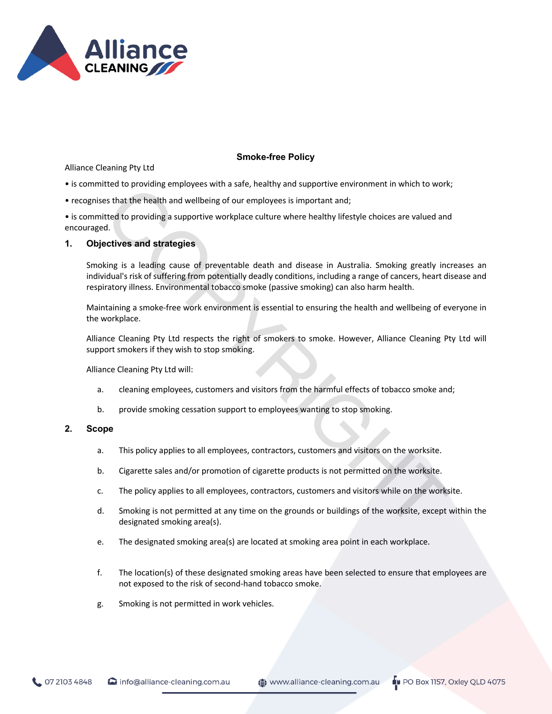

# **Smoke-free Policy**

Alliance Cleaning Pty Ltd

- is committed to providing employees with a safe, healthy and supportive environment in which to work;
- recognises that the health and wellbeing of our employees is important and;

• is committed to providing a supportive workplace culture where healthy lifestyle choices are valued and encouraged.

# **1. Objectives and strategies**

Smoking is a leading cause of preventable death and disease in Australia. Smoking greatly increases an individual's risk of suffering from potentially deadly conditions, including a range of cancers, heart disease and respiratory illness. Environmental tobacco smoke (passive smoking) can also harm health.

Maintaining a smoke-free work environment is essential to ensuring the health and wellbeing of everyone in the workplace.

Alliance Cleaning Pty Ltd respects the right of smokers to smoke. However, Alliance Cleaning Pty Ltd will support smokers if they wish to stop smoking.

Alliance Cleaning Pty Ltd will:

- a. cleaning employees, customers and visitors from the harmful effects of tobacco smoke and;
- b. provide smoking cessation support to employees wanting to stop smoking.

# **2. Scope**

- a. This policy applies to all employees, contractors, customers and visitors on the worksite.
- b. Cigarette sales and/or promotion of cigarette products is not permitted on the worksite.
- c. The policy applies to all employees, contractors, customers and visitors while on the worksite.
- d. Smoking is not permitted at any time on the grounds or buildings of the worksite, except within the designated smoking area(s).
- e. The designated smoking area(s) are located at smoking area point in each workplace.
- f. The location(s) of these designated smoking areas have been selected to ensure that employees are not exposed to the risk of second-hand tobacco smoke.
- g. Smoking is not permitted in work vehicles.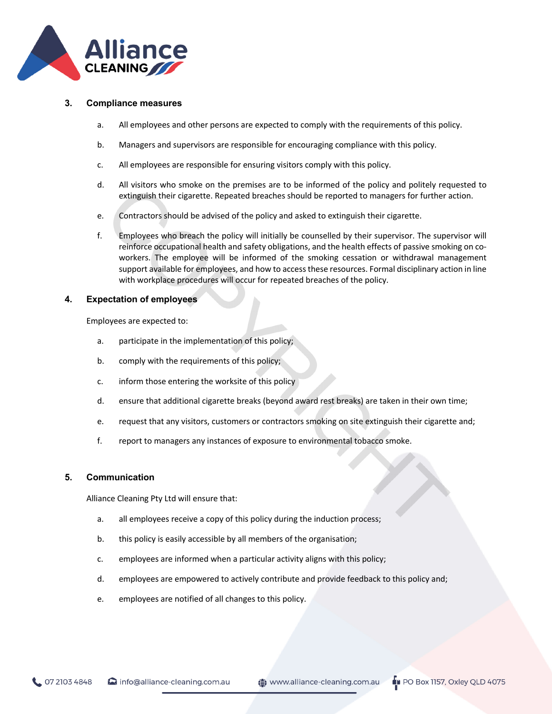

# **3. Compliance measures**

- a. All employees and other persons are expected to comply with the requirements of this policy.
- b. Managers and supervisors are responsible for encouraging compliance with this policy.
- c. All employees are responsible for ensuring visitors comply with this policy.
- d. All visitors who smoke on the premises are to be informed of the policy and politely requested to extinguish their cigarette. Repeated breaches should be reported to managers for further action.
- e. Contractors should be advised of the policy and asked to extinguish their cigarette.
- f. Employees who breach the policy will initially be counselled by their supervisor. The supervisor will reinforce occupational health and safety obligations, and the health effects of passive smoking on coworkers. The employee will be informed of the smoking cessation or withdrawal management support available for employees, and how to access these resources. Formal disciplinary action in line with workplace procedures will occur for repeated breaches of the policy.

#### **4. Expectation of employees**

Employees are expected to:

- a. participate in the implementation of this policy;
- b. comply with the requirements of this policy;
- c. inform those entering the worksite of this policy
- d. ensure that additional cigarette breaks (beyond award rest breaks) are taken in their own time;
- e. request that any visitors, customers or contractors smoking on site extinguish their cigarette and;
- f. report to managers any instances of exposure to environmental tobacco smoke.

#### **5. Communication**

Alliance Cleaning Pty Ltd will ensure that:

- a. all employees receive a copy of this policy during the induction process;
- b. this policy is easily accessible by all members of the organisation;
- c. employees are informed when a particular activity aligns with this policy;
- d. employees are empowered to actively contribute and provide feedback to this policy and;
- e. employees are notified of all changes to this policy.